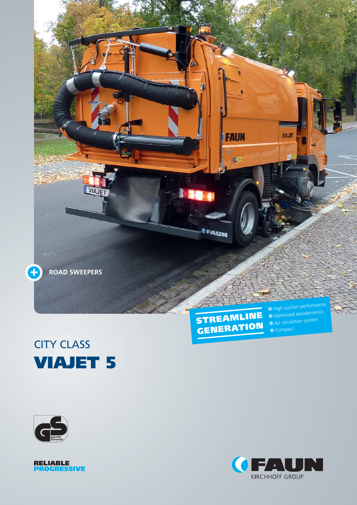





 Optimised aerodynamics Air circulation system  $\overline{\odot}$  Compact



**RELIABLE<br>PROGRESSIVE** 

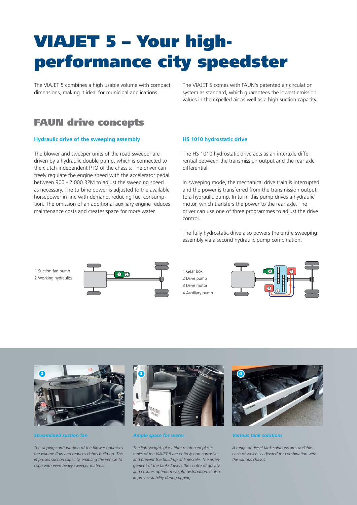# **VIAJET 5 – Your highperformance city speedster**

The VIAJET 5 combines a high usable volume with compact dimensions, making it ideal for municipal applications.

The VIAJET 5 comes with FAUN's patented air circulation system as standard, which guarantees the lowest emission values in the expelled air as well as a high suction capacity.

### **FAUN drive concepts**

#### **Hydraulic drive of the sweeping assembly**

The blower and sweeper units of the road sweeper are driven by a hydraulic double pump, which is connected to the clutch-independent PTO of the chassis. The driver can freely regulate the engine speed with the accelerator pedal between 900 - 2,000 RPM to adjust the sweeping speed as necessary. The turbine power is adjusted to the available horsepower in line with demand, reducing fuel consumption. The omission of an additional auxiliary engine reduces maintenance costs and creates space for more water.

#### **HS 1010 hydrostatic drive**

The HS 1010 hydrostatic drive acts as an interaxle differential between the transmission output and the rear axle differential.

In sweeping mode, the mechanical drive train is interrupted and the power is transferred from the transmission output to a hydraulic pump. In turn, this pump drives a hydraulic motor, which transfers the power to the rear axle. The driver can use one of three programmes to adjust the drive control.

The fully hydrostatic drive also powers the entire sweeping assembly via a second hydraulic pump combination.

1 Suction fan pump 2 Working hydraulics



1 Gear box 2 Drive pump 3 Drive motor 4 Auxiliary pump





*Streamlined suction fan*

*The sloping configuration of the blower optimises the volume flow and reduces debris build-up. This improves suction capacity, enabling the vehicle to cope with even heavy sweeper material.* 



*Ample space for water*

*The lightweight, glass-fibre-reinforced plastic tanks of the VIAJET 5 are entirely non-corrosive and prevent the build-up of limescale. The arrangement of the tanks lowers the centre of gravity and ensures optimum weight distribution; it also improves stability during tipping.* 



*Various tank solutions*

*A range of diesel tank solutions are available, each of which is adjusted for combination with the various chassis.*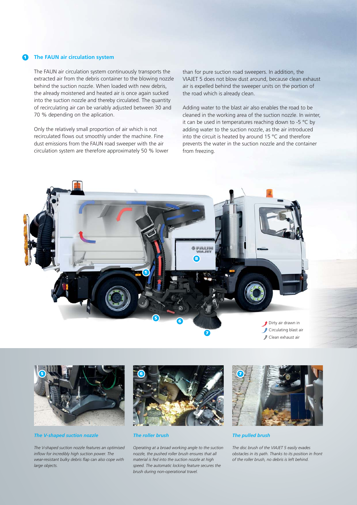#### **1 The FAUN air circulation system**

The FAUN air circulation system continuously transports the extracted air from the debris container to the blowing nozzle behind the suction nozzle. When loaded with new debris, the already moistened and heated air is once again sucked into the suction nozzle and thereby circulated. The quantity of recirculating air can be variably adjusted between 30 and 70 % depending on the aplication.

Only the relatively small proportion of air which is not recirculated flows out smoothly under the machine. Fine dust emissions from the FAUN road sweeper with the air circulation system are therefore approximately 50 % lower than for pure suction road sweepers. In addition, the VIAJET 5 does not blow dust around, because clean exhaust air is expelled behind the sweeper units on the portion of the road which is already clean.

Adding water to the blast air also enables the road to be cleaned in the working area of the suction nozzle. In winter, it can be used in temperatures reaching down to -5 °C by adding water to the suction nozzle, as the air introduced into the circuit is heated by around 15 °C and therefore prevents the water in the suction nozzle and the container from freezing.





#### *The V-shaped suction nozzle*

*The V-shaped suction nozzle features an optimised inflow for incredibly high suction power. The wear-resistant bulky debris flap can also cope with large objects.*



*The roller brush*

*Operating at a broad working angle to the suction nozzle, the pushed roller brush ensures that all material is fed into the suction nozzle at high speed. The automatic locking feature secures the brush during non-operational travel.*



#### *The pulled brush*

*The disc brush of the VIAJET 5 easily evades obstacles in its path. Thanks to its position in front of the roller brush, no debris is left behind.*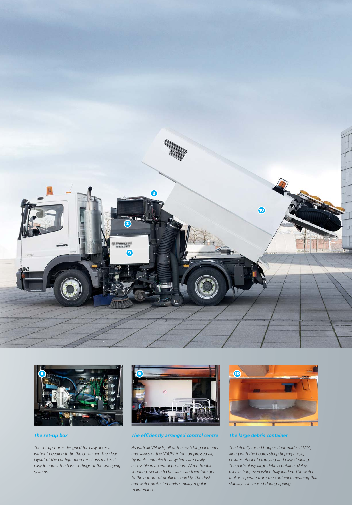



#### *The set-up box*

*The set-up box is designed for easy access, without needing to tip the container. The clear layout of the configuration functions makes it easy to adjust the basic settings of the sweeping systems.* 



#### *The efficiently arranged control centre*

*As with all VIAJETs, all of the switching elements and valves of the VIAJET 5 for compressed air, hydraulic and electrical systems are easily accessible in a central position. When troubleshooting, service technicians can therefore get to the bottom of problems quickly. The dust and water-protected units simplify regular maintenance.*



*The large debris container*

*The laterally rasied hopper floor made of V2A, along with the bodies steep tipping angle, ensures efficient emptying and easy cleaning. The particularly large debris container delays oversuction; even when fully loaded, The water tank is seperate from the container, meaning that stability is increased during tipping.*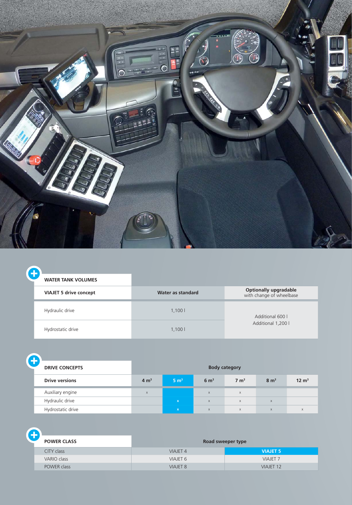

| ł                             |                   |                                                          |
|-------------------------------|-------------------|----------------------------------------------------------|
| <b>WATER TANK VOLUMES</b>     |                   |                                                          |
| <b>VIAJET 5 drive concept</b> | Water as standard | <b>Optionally upgradable</b><br>with change of wheelbase |
| Hydraulic drive               | 1,1001            | Additional 600 l                                         |
| Hydrostatic drive             | 1,1001            | Additional 1,200 l                                       |

| <b>DRIVE CONCEPTS</b> | <b>Body category</b> |                  |                 |                 |                 |                  |
|-----------------------|----------------------|------------------|-----------------|-----------------|-----------------|------------------|
| <b>Drive versions</b> | $4 \text{ m}^3$      | 5 m <sup>3</sup> | $6 \text{ m}^3$ | $7 \text{ m}^3$ | $8 \text{ m}^3$ | $12 \text{ m}^3$ |
| Auxiliary engine      | X                    |                  | $\mathsf X$     | X               |                 |                  |
| Hydraulic drive       |                      | $\mathbf x$      | $\mathsf{x}$    | $\mathsf{X}$    | $\times$        |                  |
| Hydrostatic drive     |                      | $\mathbf x$      | $\mathsf{x}$    | $\times$        | $\times$        | X                |

| <b>POWER CLASS</b> | Road sweeper type   |                      |  |  |
|--------------------|---------------------|----------------------|--|--|
| CITY class         | VIAJET <sub>4</sub> | <b>VIAJET 5</b>      |  |  |
| VARIO class        | VIAJET <sub>6</sub> | <b>VIAJET 7</b>      |  |  |
| POWER class        | <b>VIAJET 8</b>     | VIAJET <sub>12</sub> |  |  |